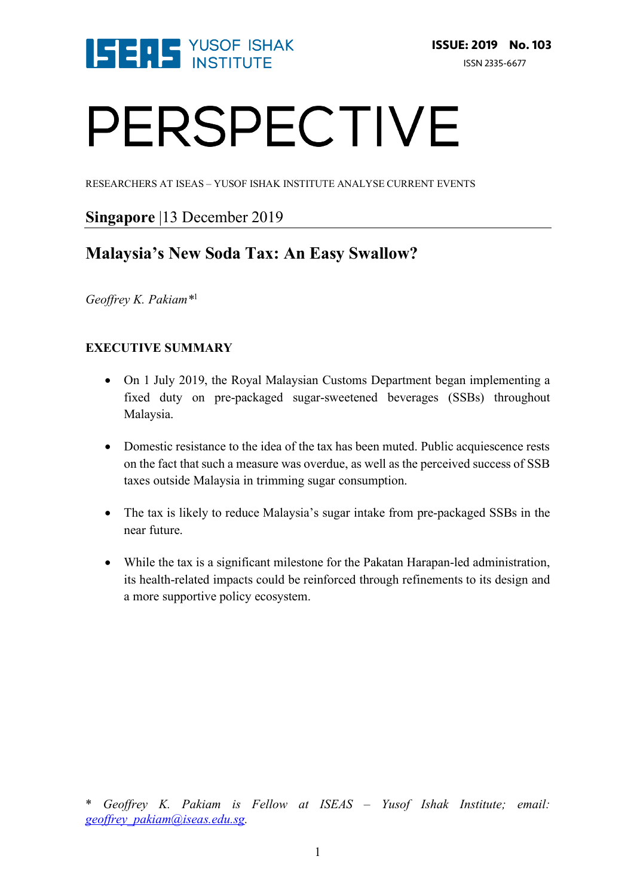

# PERSPECTIVE

RESEARCHERS AT ISEAS – YUSOF ISHAK INSTITUTE ANALYSE CURRENT EVENTS

# **Singapore** |13 December 2019

# **Malaysia's New Soda Tax: An Easy Swallow?**

*Geoffrey K. Pakiam\**<sup>1</sup>

# **EXECUTIVE SUMMARY**

- On 1 July 2019, the Royal Malaysian Customs Department began implementing a fixed duty on pre-packaged sugar-sweetened beverages (SSBs) throughout Malaysia.
- Domestic resistance to the idea of the tax has been muted. Public acquiescence rests on the fact that such a measure was overdue, as well as the perceived success of SSB taxes outside Malaysia in trimming sugar consumption.
- The tax is likely to reduce Malaysia's sugar intake from pre-packaged SSBs in the near future.
- While the tax is a significant milestone for the Pakatan Harapan-led administration, its health-related impacts could be reinforced through refinements to its design and a more supportive policy ecosystem.

<sup>\*</sup> *Geoffrey K. Pakiam is Fellow at ISEAS – Yusof Ishak Institute; email: geoffrey\_pakiam@iseas.edu.sg.*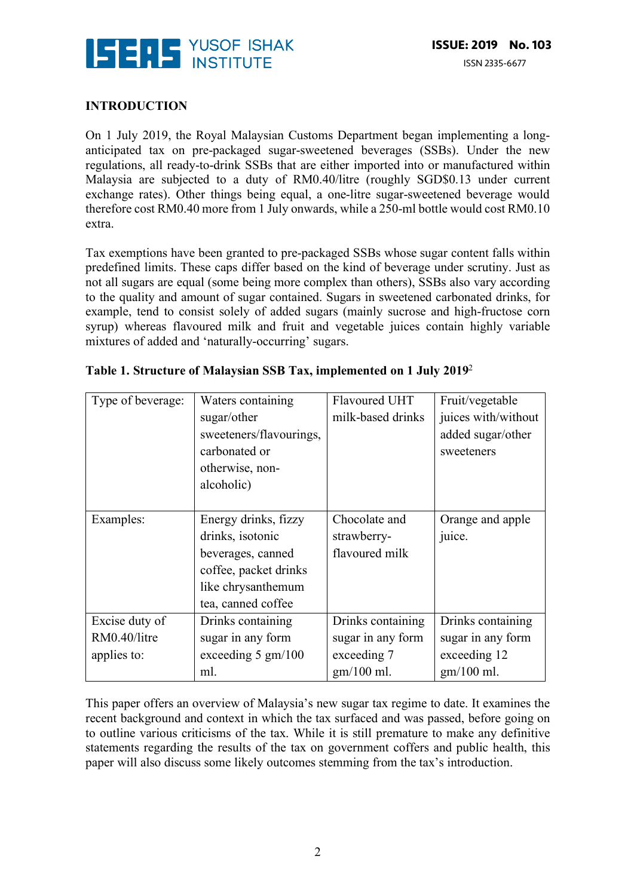

### **INTRODUCTION**

On 1 July 2019, the Royal Malaysian Customs Department began implementing a longanticipated tax on pre-packaged sugar-sweetened beverages (SSBs). Under the new regulations, all ready-to-drink SSBs that are either imported into or manufactured within Malaysia are subjected to a duty of RM0.40/litre (roughly SGD\$0.13 under current exchange rates). Other things being equal, a one-litre sugar-sweetened beverage would therefore cost RM0.40 more from 1 July onwards, while a 250-ml bottle would cost RM0.10 extra.

Tax exemptions have been granted to pre-packaged SSBs whose sugar content falls within predefined limits. These caps differ based on the kind of beverage under scrutiny. Just as not all sugars are equal (some being more complex than others), SSBs also vary according to the quality and amount of sugar contained. Sugars in sweetened carbonated drinks, for example, tend to consist solely of added sugars (mainly sucrose and high-fructose corn syrup) whereas flavoured milk and fruit and vegetable juices contain highly variable mixtures of added and 'naturally-occurring' sugars.

| Type of beverage: | Waters containing<br>sugar/other<br>sweeteners/flavourings,<br>carbonated or<br>otherwise, non-<br>alcoholic)                      | Flavoured UHT<br>milk-based drinks             | Fruit/vegetable<br>juices with/without<br>added sugar/other<br>sweeteners |
|-------------------|------------------------------------------------------------------------------------------------------------------------------------|------------------------------------------------|---------------------------------------------------------------------------|
|                   |                                                                                                                                    |                                                |                                                                           |
| Examples:         | Energy drinks, fizzy<br>drinks, isotonic<br>beverages, canned<br>coffee, packet drinks<br>like chrysanthemum<br>tea, canned coffee | Chocolate and<br>strawberry-<br>flavoured milk | Orange and apple<br>juice.                                                |
| Excise duty of    | Drinks containing                                                                                                                  | Drinks containing                              | Drinks containing                                                         |
| RM0.40/litre      | sugar in any form                                                                                                                  | sugar in any form                              | sugar in any form                                                         |
| applies to:       | exceeding $5 \text{ gm}/100$                                                                                                       | exceeding 7                                    | exceeding 12                                                              |
|                   | ml.                                                                                                                                | $gm/100$ ml.                                   | $gm/100$ ml.                                                              |

#### **Table 1. Structure of Malaysian SSB Tax, implemented on 1 July 2019**<sup>2</sup>

This paper offers an overview of Malaysia's new sugar tax regime to date. It examines the recent background and context in which the tax surfaced and was passed, before going on to outline various criticisms of the tax. While it is still premature to make any definitive statements regarding the results of the tax on government coffers and public health, this paper will also discuss some likely outcomes stemming from the tax's introduction.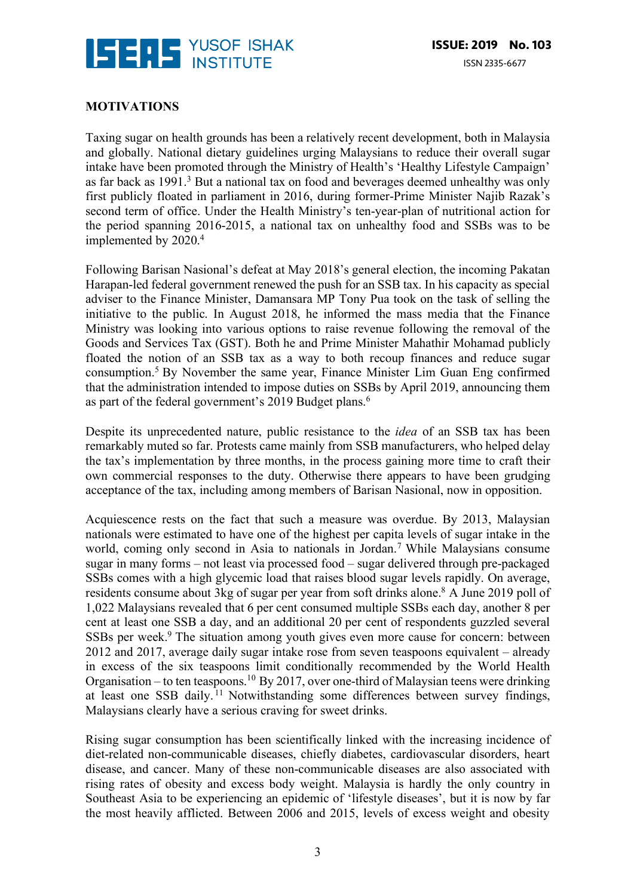

# **MOTIVATIONS**

Taxing sugar on health grounds has been a relatively recent development, both in Malaysia and globally. National dietary guidelines urging Malaysians to reduce their overall sugar intake have been promoted through the Ministry of Health's 'Healthy Lifestyle Campaign' as far back as 1991.3 But a national tax on food and beverages deemed unhealthy was only first publicly floated in parliament in 2016, during former-Prime Minister Najib Razak's second term of office. Under the Health Ministry's ten-year-plan of nutritional action for the period spanning 2016-2015, a national tax on unhealthy food and SSBs was to be implemented by 2020.<sup>4</sup>

Following Barisan Nasional's defeat at May 2018's general election, the incoming Pakatan Harapan-led federal government renewed the push for an SSB tax. In his capacity as special adviser to the Finance Minister, Damansara MP Tony Pua took on the task of selling the initiative to the public. In August 2018, he informed the mass media that the Finance Ministry was looking into various options to raise revenue following the removal of the Goods and Services Tax (GST). Both he and Prime Minister Mahathir Mohamad publicly floated the notion of an SSB tax as a way to both recoup finances and reduce sugar consumption.5 By November the same year, Finance Minister Lim Guan Eng confirmed that the administration intended to impose duties on SSBs by April 2019, announcing them as part of the federal government's 2019 Budget plans.<sup>6</sup>

Despite its unprecedented nature, public resistance to the *idea* of an SSB tax has been remarkably muted so far. Protests came mainly from SSB manufacturers, who helped delay the tax's implementation by three months, in the process gaining more time to craft their own commercial responses to the duty. Otherwise there appears to have been grudging acceptance of the tax, including among members of Barisan Nasional, now in opposition.

Acquiescence rests on the fact that such a measure was overdue. By 2013, Malaysian nationals were estimated to have one of the highest per capita levels of sugar intake in the world, coming only second in Asia to nationals in Jordan.<sup>7</sup> While Malaysians consume sugar in many forms – not least via processed food – sugar delivered through pre-packaged SSBs comes with a high glycemic load that raises blood sugar levels rapidly. On average, residents consume about 3kg of sugar per year from soft drinks alone.<sup>8</sup> A June 2019 poll of 1,022 Malaysians revealed that 6 per cent consumed multiple SSBs each day, another 8 per cent at least one SSB a day, and an additional 20 per cent of respondents guzzled several SSBs per week.<sup>9</sup> The situation among youth gives even more cause for concern: between 2012 and 2017, average daily sugar intake rose from seven teaspoons equivalent – already in excess of the six teaspoons limit conditionally recommended by the World Health Organisation – to ten teaspoons.<sup>10</sup> By 2017, over one-third of Malaysian teens were drinking at least one SSB daily. <sup>11</sup> Notwithstanding some differences between survey findings, Malaysians clearly have a serious craving for sweet drinks.

Rising sugar consumption has been scientifically linked with the increasing incidence of diet-related non-communicable diseases, chiefly diabetes, cardiovascular disorders, heart disease, and cancer. Many of these non-communicable diseases are also associated with rising rates of obesity and excess body weight. Malaysia is hardly the only country in Southeast Asia to be experiencing an epidemic of 'lifestyle diseases', but it is now by far the most heavily afflicted. Between 2006 and 2015, levels of excess weight and obesity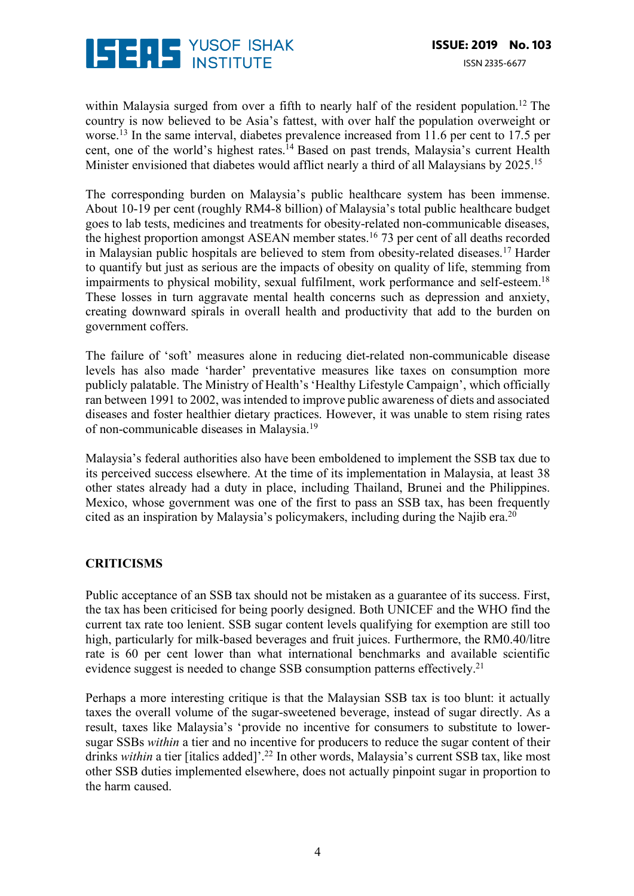

within Malaysia surged from over a fifth to nearly half of the resident population.<sup>12</sup> The country is now believed to be Asia's fattest, with over half the population overweight or worse.<sup>13</sup> In the same interval, diabetes prevalence increased from 11.6 per cent to 17.5 per cent, one of the world's highest rates.<sup>14</sup> Based on past trends, Malaysia's current Health Minister envisioned that diabetes would afflict nearly a third of all Malaysians by 2025.<sup>15</sup>

The corresponding burden on Malaysia's public healthcare system has been immense. About 10-19 per cent (roughly RM4-8 billion) of Malaysia's total public healthcare budget goes to lab tests, medicines and treatments for obesity-related non-communicable diseases, the highest proportion amongst ASEAN member states.<sup>16</sup> 73 per cent of all deaths recorded in Malaysian public hospitals are believed to stem from obesity-related diseases.17 Harder to quantify but just as serious are the impacts of obesity on quality of life, stemming from impairments to physical mobility, sexual fulfilment, work performance and self-esteem.<sup>18</sup> These losses in turn aggravate mental health concerns such as depression and anxiety, creating downward spirals in overall health and productivity that add to the burden on government coffers.

The failure of 'soft' measures alone in reducing diet-related non-communicable disease levels has also made 'harder' preventative measures like taxes on consumption more publicly palatable. The Ministry of Health's 'Healthy Lifestyle Campaign', which officially ran between 1991 to 2002, was intended to improve public awareness of diets and associated diseases and foster healthier dietary practices. However, it was unable to stem rising rates of non-communicable diseases in Malaysia.19

Malaysia's federal authorities also have been emboldened to implement the SSB tax due to its perceived success elsewhere. At the time of its implementation in Malaysia, at least 38 other states already had a duty in place, including Thailand, Brunei and the Philippines. Mexico, whose government was one of the first to pass an SSB tax, has been frequently cited as an inspiration by Malaysia's policymakers, including during the Najib era.20

# **CRITICISMS**

Public acceptance of an SSB tax should not be mistaken as a guarantee of its success. First, the tax has been criticised for being poorly designed. Both UNICEF and the WHO find the current tax rate too lenient. SSB sugar content levels qualifying for exemption are still too high, particularly for milk-based beverages and fruit juices. Furthermore, the RM0.40/litre rate is 60 per cent lower than what international benchmarks and available scientific evidence suggest is needed to change SSB consumption patterns effectively.<sup>21</sup>

Perhaps a more interesting critique is that the Malaysian SSB tax is too blunt: it actually taxes the overall volume of the sugar-sweetened beverage, instead of sugar directly. As a result, taxes like Malaysia's 'provide no incentive for consumers to substitute to lowersugar SSBs *within* a tier and no incentive for producers to reduce the sugar content of their drinks *within* a tier [italics added]'.<sup>22</sup> In other words, Malaysia's current SSB tax, like most other SSB duties implemented elsewhere, does not actually pinpoint sugar in proportion to the harm caused.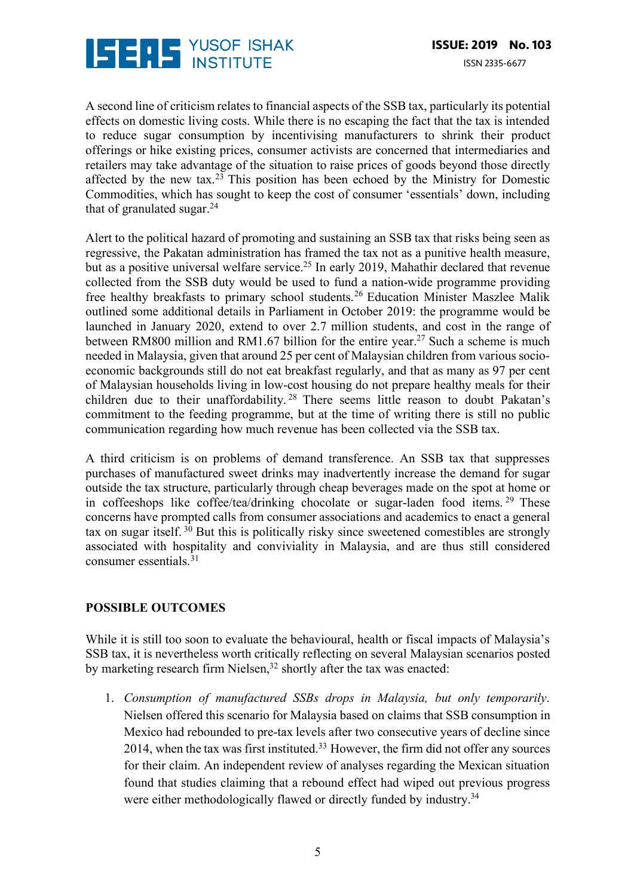

A second line of criticism relates to financial aspects of the SSB tax, particularly its potential effects on domestic living costs. While there is no escaping the fact that the tax is intended to reduce sugar consumption by incentivising manufacturers to shrink their product offerings or hike existing prices, consumer activists are concerned that intermediaries and retailers may take advantage of the situation to raise prices of goods beyond those directly affected by the new tax.<sup>23</sup> This position has been echoed by the Ministry for Domestic Commodities, which has sought to keep the cost of consumer 'essentials' down, including that of granulated sugar. $24$ 

Alert to the political hazard of promoting and sustaining an SSB tax that risks being seen as regressive, the Pakatan administration has framed the tax not as a punitive health measure, but as a positive universal welfare service.<sup>25</sup> In early 2019, Mahathir declared that revenue collected from the SSB duty would be used to fund a nation-wide programme providing free healthy breakfasts to primary school students.26 Education Minister Maszlee Malik outlined some additional details in Parliament in October 2019: the programme would be launched in January 2020, extend to over 2.7 million students, and cost in the range of between RM800 million and RM1.67 billion for the entire year.<sup>27</sup> Such a scheme is much needed in Malaysia, given that around 25 per cent of Malaysian children from various socioeconomic backgrounds still do not eat breakfast regularly, and that as many as 97 per cent of Malaysian households living in low-cost housing do not prepare healthy meals for their children due to their unaffordability. <sup>28</sup> There seems little reason to doubt Pakatan's commitment to the feeding programme, but at the time of writing there is still no public communication regarding how much revenue has been collected via the SSB tax.

A third criticism is on problems of demand transference. An SSB tax that suppresses purchases of manufactured sweet drinks may inadvertently increase the demand for sugar outside the tax structure, particularly through cheap beverages made on the spot at home or in coffeeshops like coffee/tea/drinking chocolate or sugar-laden food items. <sup>29</sup> These concerns have prompted calls from consumer associations and academics to enact a general tax on sugar itself.  $3\overline{0}$  But this is politically risky since sweetened comestibles are strongly associated with hospitality and conviviality in Malaysia, and are thus still considered consumer essentials.31

# **POSSIBLE OUTCOMES**

While it is still too soon to evaluate the behavioural, health or fiscal impacts of Malaysia's SSB tax, it is nevertheless worth critically reflecting on several Malaysian scenarios posted by marketing research firm Nielsen,<sup>32</sup> shortly after the tax was enacted:

1. *Consumption of manufactured SSBs drops in Malaysia, but only temporarily*. Nielsen offered this scenario for Malaysia based on claims that SSB consumption in Mexico had rebounded to pre-tax levels after two consecutive years of decline since 2014, when the tax was first instituted.33 However, the firm did not offer any sources for their claim. An independent review of analyses regarding the Mexican situation found that studies claiming that a rebound effect had wiped out previous progress were either methodologically flawed or directly funded by industry.<sup>34</sup>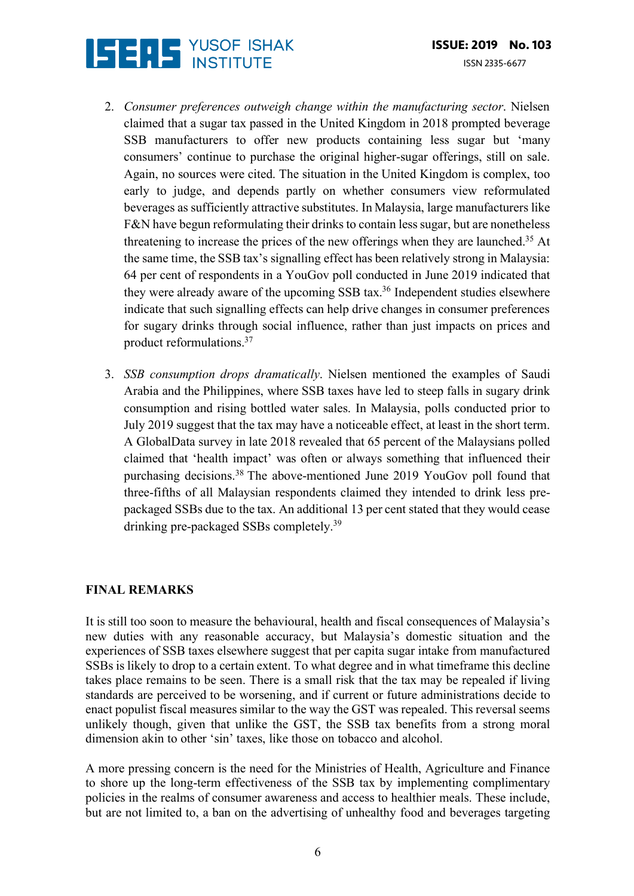

- 2. *Consumer preferences outweigh change within the manufacturing sector*. Nielsen claimed that a sugar tax passed in the United Kingdom in 2018 prompted beverage SSB manufacturers to offer new products containing less sugar but 'many consumers' continue to purchase the original higher-sugar offerings, still on sale. Again, no sources were cited. The situation in the United Kingdom is complex, too early to judge, and depends partly on whether consumers view reformulated beverages as sufficiently attractive substitutes. In Malaysia, large manufacturers like F&N have begun reformulating their drinks to contain less sugar, but are nonetheless threatening to increase the prices of the new offerings when they are launched.35 At the same time, the SSB tax's signalling effect has been relatively strong in Malaysia: 64 per cent of respondents in a YouGov poll conducted in June 2019 indicated that they were already aware of the upcoming  $SSB$  tax.<sup>36</sup> Independent studies elsewhere indicate that such signalling effects can help drive changes in consumer preferences for sugary drinks through social influence, rather than just impacts on prices and product reformulations.37
- 3. *SSB consumption drops dramatically*. Nielsen mentioned the examples of Saudi Arabia and the Philippines, where SSB taxes have led to steep falls in sugary drink consumption and rising bottled water sales. In Malaysia, polls conducted prior to July 2019 suggest that the tax may have a noticeable effect, at least in the short term. A GlobalData survey in late 2018 revealed that 65 percent of the Malaysians polled claimed that 'health impact' was often or always something that influenced their purchasing decisions.38 The above-mentioned June 2019 YouGov poll found that three-fifths of all Malaysian respondents claimed they intended to drink less prepackaged SSBs due to the tax. An additional 13 per cent stated that they would cease drinking pre-packaged SSBs completely.39

# **FINAL REMARKS**

It is still too soon to measure the behavioural, health and fiscal consequences of Malaysia's new duties with any reasonable accuracy, but Malaysia's domestic situation and the experiences of SSB taxes elsewhere suggest that per capita sugar intake from manufactured SSBs is likely to drop to a certain extent. To what degree and in what timeframe this decline takes place remains to be seen. There is a small risk that the tax may be repealed if living standards are perceived to be worsening, and if current or future administrations decide to enact populist fiscal measures similar to the way the GST was repealed. This reversal seems unlikely though, given that unlike the GST, the SSB tax benefits from a strong moral dimension akin to other 'sin' taxes, like those on tobacco and alcohol.

A more pressing concern is the need for the Ministries of Health, Agriculture and Finance to shore up the long-term effectiveness of the SSB tax by implementing complimentary policies in the realms of consumer awareness and access to healthier meals. These include, but are not limited to, a ban on the advertising of unhealthy food and beverages targeting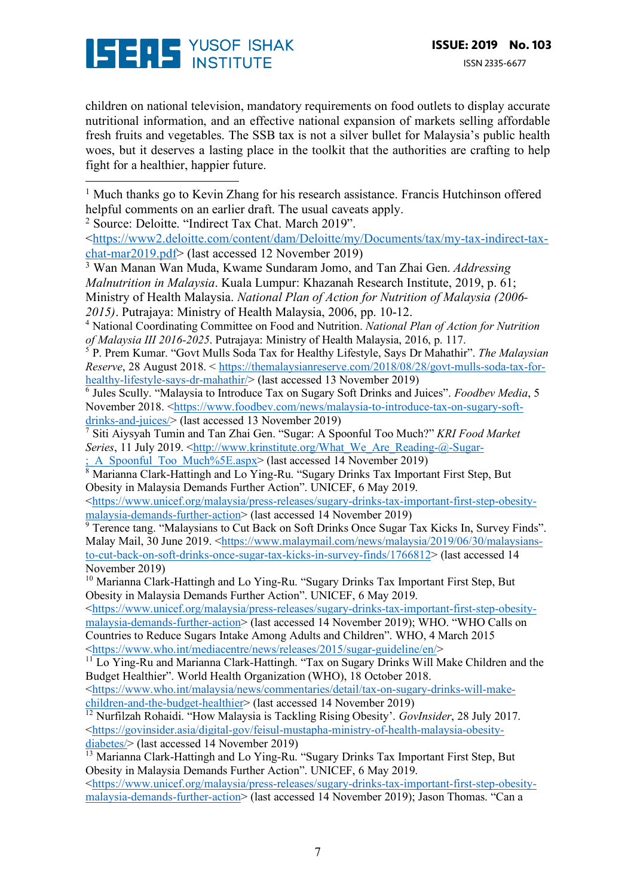

 

children on national television, mandatory requirements on food outlets to display accurate nutritional information, and an effective national expansion of markets selling affordable fresh fruits and vegetables. The SSB tax is not a silver bullet for Malaysia's public health woes, but it deserves a lasting place in the toolkit that the authorities are crafting to help fight for a healthier, happier future.

<sup>1</sup> Much thanks go to Kevin Zhang for his research assistance. Francis Hutchinson offered helpful comments on an earlier draft. The usual caveats apply.

<sup>2</sup> Source: Deloitte. "Indirect Tax Chat. March 2019".

<https://www2.deloitte.com/content/dam/Deloitte/my/Documents/tax/my-tax-indirect-taxchat-mar2019.pdf> (last accessed 12 November 2019)

<sup>3</sup> Wan Manan Wan Muda, Kwame Sundaram Jomo, and Tan Zhai Gen. *Addressing Malnutrition in Malaysia*. Kuala Lumpur: Khazanah Research Institute, 2019, p. 61; Ministry of Health Malaysia. *National Plan of Action for Nutrition of Malaysia (2006-*

<sup>4</sup> National Coordinating Committee on Food and Nutrition. *National Plan of Action for Nutrition of Malaysia III 2016-2025*. Putrajaya: Ministry of Health Malaysia, 2016, p. 117.

<sup>5</sup> P. Prem Kumar. "Govt Mulls Soda Tax for Healthy Lifestyle, Says Dr Mahathir". *The Malaysian Reserve*, 28 August 2018. < https://themalaysianreserve.com/2018/08/28/govt-mulls-soda-tax-forhealthy-lifestyle-says-dr-mahathir/> (last accessed 13 November 2019)

<sup>6</sup> Jules Scully. "Malaysia to Introduce Tax on Sugary Soft Drinks and Juices". *Foodbev Media*, 5 November 2018. <https://www.foodbev.com/news/malaysia-to-introduce-tax-on-sugary-softdrinks-and-juices/> (last accessed 13 November 2019)

<sup>7</sup> Siti Aiysyah Tumin and Tan Zhai Gen. "Sugar: A Spoonful Too Much?" *KRI Food Market Series*, 11 July 2019. <http://www.krinstitute.org/What\_We\_Are\_Reading-@-Sugar-: A\_Spoonful\_Too\_Much%5E.aspx> (last accessed 14 November 2019)

<sup>8</sup> Marianna Clark-Hattingh and Lo Ying-Ru. "Sugary Drinks Tax Important First Step, But Obesity in Malaysia Demands Further Action". UNICEF, 6 May 2019.

<https://www.unicef.org/malaysia/press-releases/sugary-drinks-tax-important-first-step-obesitymalaysia-demands-further-action> (last accessed 14 November 2019)

<sup>9</sup> Terence tang. "Malaysians to Cut Back on Soft Drinks Once Sugar Tax Kicks In, Survey Finds". Malay Mail, 30 June 2019. <https://www.malaymail.com/news/malaysia/2019/06/30/malaysiansto-cut-back-on-soft-drinks-once-sugar-tax-kicks-in-survey-finds/1766812> (last accessed 14 November 2019)

<sup>10</sup> Marianna Clark-Hattingh and Lo Ying-Ru. "Sugary Drinks Tax Important First Step, But Obesity in Malaysia Demands Further Action". UNICEF, 6 May 2019.

<https://www.unicef.org/malaysia/press-releases/sugary-drinks-tax-important-first-step-obesitymalaysia-demands-further-action> (last accessed 14 November 2019); WHO. "WHO Calls on Countries to Reduce Sugars Intake Among Adults and Children". WHO, 4 March 2015 <https://www.who.int/mediacentre/news/releases/2015/sugar-guideline/en/>

<sup>11</sup> Lo Ying-Ru and Marianna Clark-Hattingh. "Tax on Sugary Drinks Will Make Children and the Budget Healthier". World Health Organization (WHO), 18 October 2018.

<https://www.who.int/malaysia/news/commentaries/detail/tax-on-sugary-drinks-will-makechildren-and-the-budget-healthier> (last accessed 14 November 2019)

<sup>12</sup> Nurfilzah Rohaidi. "How Malaysia is Tackling Rising Obesity'. *GovInsider*, 28 July 2017. <https://govinsider.asia/digital-gov/feisul-mustapha-ministry-of-health-malaysia-obesitydiabetes/> (last accessed 14 November 2019)

 $\frac{13}{13}$  Marianna Clark-Hattingh and Lo Ying-Ru. "Sugary Drinks Tax Important First Step, But Obesity in Malaysia Demands Further Action". UNICEF, 6 May 2019. <https://www.unicef.org/malaysia/press-releases/sugary-drinks-tax-important-first-step-obesitymalaysia-demands-further-action> (last accessed 14 November 2019); Jason Thomas. "Can a

*<sup>2015)</sup>*. Putrajaya: Ministry of Health Malaysia, 2006, pp. 10-12.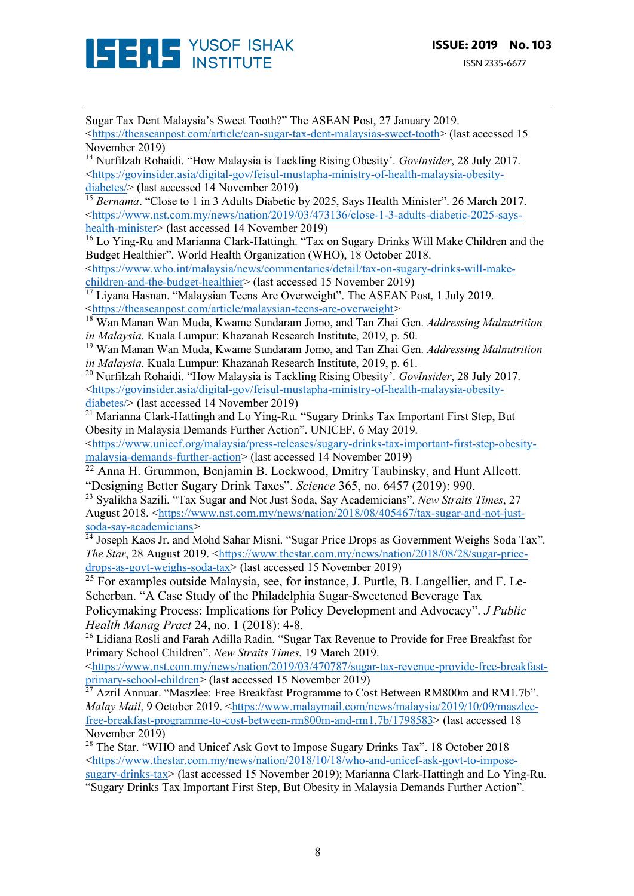

Sugar Tax Dent Malaysia's Sweet Tooth?" The ASEAN Post, 27 January 2019. <https://theaseanpost.com/article/can-sugar-tax-dent-malaysias-sweet-tooth> (last accessed 15 November 2019) <sup>14</sup> Nurfilzah Rohaidi. "How Malaysia is Tackling Rising Obesity'. *GovInsider*, 28 July 2017. <https://govinsider.asia/digital-gov/feisul-mustapha-ministry-of-health-malaysia-obesitydiabetes/> (last accessed 14 November 2019) <sup>15</sup> *Bernama*. "Close to 1 in 3 Adults Diabetic by 2025, Says Health Minister", 26 March 2017. <https://www.nst.com.my/news/nation/2019/03/473136/close-1-3-adults-diabetic-2025-sayshealth-minister> (last accessed 14 November 2019)  $\frac{16}{16}$  Lo Ying-Ru and Marianna Clark-Hattingh. "Tax on Sugary Drinks Will Make Children and the Budget Healthier". World Health Organization (WHO), 18 October 2018. <https://www.who.int/malaysia/news/commentaries/detail/tax-on-sugary-drinks-will-makechildren-and-the-budget-healthier> (last accessed 15 November 2019) <sup>17</sup> Liyana Hasnan. "Malaysian Teens Are Overweight". The ASEAN Post, 1 July 2019. <https://theaseanpost.com/article/malaysian-teens-are-overweight> <sup>18</sup> Wan Manan Wan Muda, Kwame Sundaram Jomo, and Tan Zhai Gen. *Addressing Malnutrition in Malaysia*. Kuala Lumpur: Khazanah Research Institute, 2019, p. 50. <sup>19</sup> Wan Manan Wan Muda, Kwame Sundaram Jomo, and Tan Zhai Gen. *Addressing Malnutrition in Malaysia*. Kuala Lumpur: Khazanah Research Institute, 2019, p. 61. <sup>20</sup> Nurfilzah Rohaidi. "How Malaysia is Tackling Rising Obesity'. *GovInsider*, 28 July 2017. <https://govinsider.asia/digital-gov/feisul-mustapha-ministry-of-health-malaysia-obesitydiabetes/> (last accessed 14 November 2019)  $\frac{21}{21}$  Marianna Clark-Hattingh and Lo Ying-Ru. "Sugary Drinks Tax Important First Step, But Obesity in Malaysia Demands Further Action". UNICEF, 6 May 2019. <https://www.unicef.org/malaysia/press-releases/sugary-drinks-tax-important-first-step-obesitymalaysia-demands-further-action> (last accessed 14 November 2019) <sup>22</sup> Anna H. Grummon, Benjamin B. Lockwood, Dmitry Taubinsky, and Hunt Allcott. "Designing Better Sugary Drink Taxes". *Science* 365, no. 6457 (2019): 990. <sup>23</sup> Syalikha Sazili. "Tax Sugar and Not Just Soda, Say Academicians". *New Straits Times*, 27 August 2018. <https://www.nst.com.my/news/nation/2018/08/405467/tax-sugar-and-not-justsoda-say-academicians>  $\frac{1}{24}$  Joseph Kaos Jr. and Mohd Sahar Misni. "Sugar Price Drops as Government Weighs Soda Tax". *The Star*, 28 August 2019. <https://www.thestar.com.my/news/nation/2018/08/28/sugar-pricedrops-as-govt-weighs-soda-tax> (last accessed 15 November 2019) <sup>25</sup> For examples outside Malaysia, see, for instance, J. Purtle, B. Langellier, and F. Le-Scherban. "A Case Study of the Philadelphia Sugar-Sweetened Beverage Tax Policymaking Process: Implications for Policy Development and Advocacy". *J Public Health Manag Pract* 24, no. 1 (2018): 4-8. <sup>26</sup> Lidiana Rosli and Farah Adilla Radin. "Sugar Tax Revenue to Provide for Free Breakfast for Primary School Children". *New Straits Times*, 19 March 2019. <https://www.nst.com.my/news/nation/2019/03/470787/sugar-tax-revenue-provide-free-breakfastprimary-school-children> (last accessed 15 November 2019)  $^{27}$  Azril Annuar. "Maszlee: Free Breakfast Programme to Cost Between RM800m and RM1.7b". *Malay Mail*, 9 October 2019. <https://www.malaymail.com/news/malaysia/2019/10/09/maszleefree-breakfast-programme-to-cost-between-rm800m-and-rm1.7b/1798583> (last accessed 18 November 2019) <sup>28</sup> The Star. "WHO and Unicef Ask Govt to Impose Sugary Drinks Tax". 18 October 2018 <https://www.thestar.com.my/news/nation/2018/10/18/who-and-unicef-ask-govt-to-imposesugary-drinks-tax> (last accessed 15 November 2019); Marianna Clark-Hattingh and Lo Ying-Ru. "Sugary Drinks Tax Important First Step, But Obesity in Malaysia Demands Further Action".

<u> 1989 - Andrea San Andrew Maria (h. 1989).</u><br>1900 - Andrew Maria (h. 1980).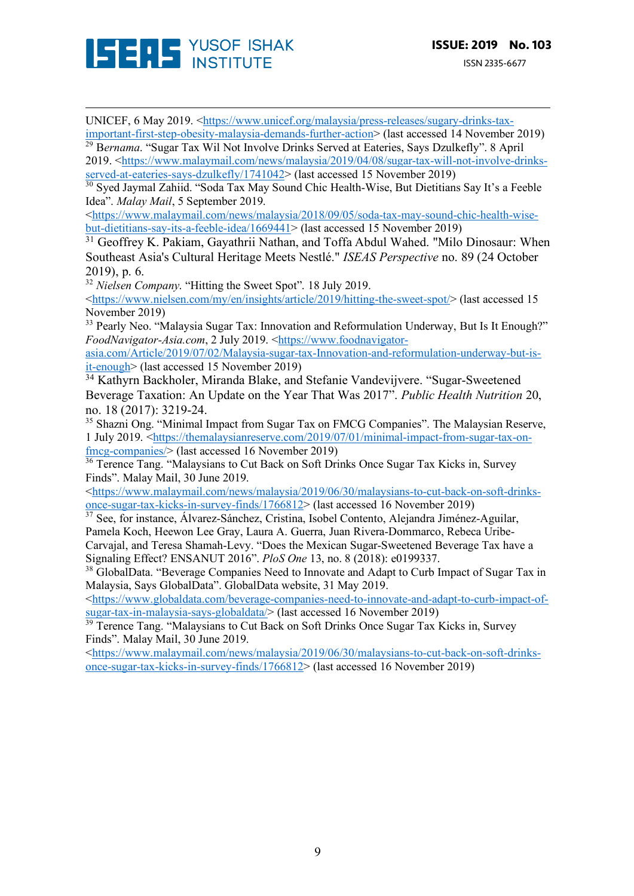

UNICEF, 6 May 2019. <https://www.unicef.org/malaysia/press-releases/sugary-drinks-tax-

important-first-step-obesity-malaysia-demands-further-action> (last accessed 14 November 2019) <sup>29</sup> B*ernama*. "Sugar Tax Wil Not Involve Drinks Served at Eateries, Says Dzulkefly". 8 April 2019. <https://www.malaymail.com/news/malaysia/2019/04/08/sugar-tax-will-not-involve-drinks-

<u> 1989 - Andrea San Andrew Maria (h. 1989).</u><br>1900 - Andrew Maria (h. 1980).

served-at-eateries-says-dzulkefly/1741042> (last accessed 15 November 2019)

<sup>30</sup> Sved Javmal Zahiid. "Soda Tax May Sound Chic Health-Wise, But Dietitians Say It's a Feeble Idea". *Malay Mail*, 5 September 2019.

<https://www.malaymail.com/news/malaysia/2018/09/05/soda-tax-may-sound-chic-health-wisebut-dietitians-say-its-a-feeble-idea/1669441> (last accessed 15 November 2019)

<sup>31</sup> Geoffrey K. Pakiam, Gayathrii Nathan, and Toffa Abdul Wahed. "Milo Dinosaur: When Southeast Asia's Cultural Heritage Meets Nestlé." *ISEAS Perspective* no. 89 (24 October 2019), p. 6.

<sup>32</sup> *Nielsen Company*. "Hitting the Sweet Spot". 18 July 2019.

<https://www.nielsen.com/my/en/insights/article/2019/hitting-the-sweet-spot/> (last accessed 15 November 2019)

<sup>33</sup> Pearly Neo. "Malaysia Sugar Tax: Innovation and Reformulation Underway, But Is It Enough?" *FoodNavigator-Asia.com*, 2 July 2019. <https://www.foodnavigator-

asia.com/Article/2019/07/02/Malaysia-sugar-tax-Innovation-and-reformulation-underway-but-isit-enough> (last accessed 15 November 2019)

<sup>34</sup> Kathyrn Backholer, Miranda Blake, and Stefanie Vandevijvere. "Sugar-Sweetened Beverage Taxation: An Update on the Year That Was 2017". *Public Health Nutrition* 20, no. 18 (2017): 3219-24.

<sup>35</sup> Shazni Ong. "Minimal Impact from Sugar Tax on FMCG Companies". The Malaysian Reserve, 1 July 2019. <https://themalaysianreserve.com/2019/07/01/minimal-impact-from-sugar-tax-onfmcg-companies/> (last accessed 16 November 2019)

<sup>36</sup> Terence Tang. "Malaysians to Cut Back on Soft Drinks Once Sugar Tax Kicks in, Survey Finds". Malay Mail, 30 June 2019.

<https://www.malaymail.com/news/malaysia/2019/06/30/malaysians-to-cut-back-on-soft-drinksonce-sugar-tax-kicks-in-survey-finds/1766812> (last accessed 16 November 2019)

<sup>37</sup> See, for instance, Álvarez-Sánchez, Cristina, Isobel Contento, Alejandra Jiménez-Aguilar, Pamela Koch, Heewon Lee Gray, Laura A. Guerra, Juan Rivera-Dommarco, Rebeca Uribe-Carvajal, and Teresa Shamah-Levy. "Does the Mexican Sugar-Sweetened Beverage Tax have a

Signaling Effect? ENSANUT 2016". *PloS One* 13, no. 8 (2018): e0199337.

<sup>38</sup> GlobalData. "Beverage Companies Need to Innovate and Adapt to Curb Impact of Sugar Tax in Malaysia, Says GlobalData". GlobalData website, 31 May 2019.

<https://www.globaldata.com/beverage-companies-need-to-innovate-and-adapt-to-curb-impact-ofsugar-tax-in-malaysia-says-globaldata/> (last accessed 16 November 2019)

<sup>39</sup> Terence Tang. "Malaysians to Cut Back on Soft Drinks Once Sugar Tax Kicks in, Survey Finds". Malay Mail, 30 June 2019.

<https://www.malaymail.com/news/malaysia/2019/06/30/malaysians-to-cut-back-on-soft-drinksonce-sugar-tax-kicks-in-survey-finds/1766812> (last accessed 16 November 2019)